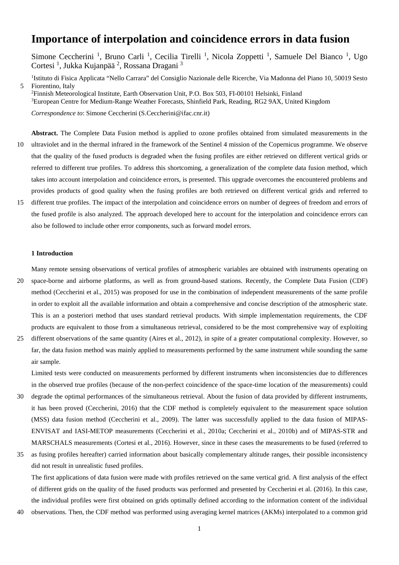# **Importance of interpolation and coincidence errors in data fusion**

Simone Ceccherini<sup>1</sup>, Bruno Carli<sup>1</sup>, Cecilia Tirelli<sup>1</sup>, Nicola Zoppetti<sup>1</sup>, Samuele Del Bianco<sup>1</sup>, Ugo Cortesi<sup>1</sup>, Jukka Kujanpää<sup>2</sup>, Rossana Dragani<sup>3</sup>

<sup>1</sup>Istituto di Fisica Applicata "Nello Carrara" del Consiglio Nazionale delle Ricerche, Via Madonna del Piano 10, 50019 Sesto 5 Fiorentino, Italy

2 Finnish Meteorological Institute, Earth Observation Unit, P.O. Box 503, FI-00101 Helsinki, Finland <sup>3</sup>European Centre for Medium-Range Weather Forecasts, Shinfield Park, Reading, RG2 9AX, United Kingdom

*Correspondence to*: Simone Ceccherini (S.Ceccherini@ifac.cnr.it)

- **Abstract.** The Complete Data Fusion method is applied to ozone profiles obtained from simulated measurements in the 10 ultraviolet and in the thermal infrared in the framework of the Sentinel 4 mission of the Copernicus programme. We observe that the quality of the fused products is degraded when the fusing profiles are either retrieved on different vertical grids or referred to different true profiles. To address this shortcoming, a generalization of the complete data fusion method, which takes into account interpolation and coincidence errors, is presented. This upgrade overcomes the encountered problems and provides products of good quality when the fusing profiles are both retrieved on different vertical grids and referred to
- 15 different true profiles. The impact of the interpolation and coincidence errors on number of degrees of freedom and errors of the fused profile is also analyzed. The approach developed here to account for the interpolation and coincidence errors can also be followed to include other error components, such as forward model errors.

## **1 Introduction**

Many remote sensing observations of vertical profiles of atmospheric variables are obtained with instruments operating on

- 20 space-borne and airborne platforms, as well as from ground-based stations. Recently, the Complete Data Fusion (CDF) method (Ceccherini et al., 2015) was proposed for use in the combination of independent measurements of the same profile in order to exploit all the available information and obtain a comprehensive and concise description of the atmospheric state. This is an a posteriori method that uses standard retrieval products. With simple implementation requirements, the CDF products are equivalent to those from a simultaneous retrieval, considered to be the most comprehensive way of exploiting
- 25 different observations of the same quantity (Aires et al., 2012), in spite of a greater computational complexity. However, so far, the data fusion method was mainly applied to measurements performed by the same instrument while sounding the same air sample.

Limited tests were conducted on measurements performed by different instruments when inconsistencies due to differences in the observed true profiles (because of the non-perfect coincidence of the space-time location of the measurements) could

- 30 degrade the optimal performances of the simultaneous retrieval. About the fusion of data provided by different instruments, it has been proved (Ceccherini, 2016) that the CDF method is completely equivalent to the measurement space solution (MSS) data fusion method (Ceccherini et al., 2009). The latter was successfully applied to the data fusion of MIPAS-ENVISAT and IASI-METOP measurements (Ceccherini et al., 2010a; Ceccherini et al., 2010b) and of MIPAS-STR and MARSCHALS measurements (Cortesi et al., 2016). However, since in these cases the measurements to be fused (referred to
- 35 as fusing profiles hereafter) carried information about basically complementary altitude ranges, their possible inconsistency did not result in unrealistic fused profiles.

The first applications of data fusion were made with profiles retrieved on the same vertical grid. A first analysis of the effect of different grids on the quality of the fused products was performed and presented by Ceccherini et al. (2016). In this case, the individual profiles were first obtained on grids optimally defined according to the information content of the individual

40 observations. Then, the CDF method was performed using averaging kernel matrices (AKMs) interpolated to a common grid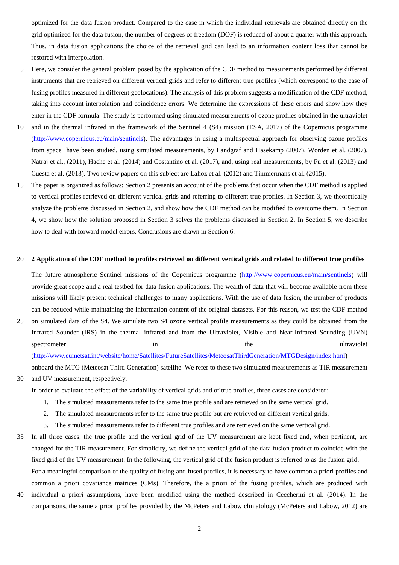optimized for the data fusion product. Compared to the case in which the individual retrievals are obtained directly on the grid optimized for the data fusion, the number of degrees of freedom (DOF) is reduced of about a quarter with this approach. Thus, in data fusion applications the choice of the retrieval grid can lead to an information content loss that cannot be restored with interpolation.

- 5 Here, we consider the general problem posed by the application of the CDF method to measurements performed by different instruments that are retrieved on different vertical grids and refer to different true profiles (which correspond to the case of fusing profiles measured in different geolocations). The analysis of this problem suggests a modification of the CDF method, taking into account interpolation and coincidence errors. We determine the expressions of these errors and show how they enter in the CDF formula. The study is performed using simulated measurements of ozone profiles obtained in the ultraviolet
- 10 and in the thermal infrared in the framework of the Sentinel 4 (S4) mission (ESA, 2017) of the Copernicus programme [\(http://www.copernicus.eu/main/sentinels\)](http://www.copernicus.eu/main/sentinels). The advantages in using a multispectral approach for observing ozone profiles from space have been studied, using simulated measurements, by Landgraf and Hasekamp (2007), Worden et al. (2007), Natraj et al., (2011), Hache et al. (2014) and Costantino et al. (2017), and, using real measurements, by Fu et al. (2013) and Cuesta et al. (2013). Two review papers on this subject are Lahoz et al. (2012) and Timmermans et al. (2015).
- 15 The paper is organized as follows: Section 2 presents an account of the problems that occur when the CDF method is applied to vertical profiles retrieved on different vertical grids and referring to different true profiles. In Section 3, we theoretically analyze the problems discussed in Section 2, and show how the CDF method can be modified to overcome them. In Section 4, we show how the solution proposed in Section 3 solves the problems discussed in Section 2. In Section 5, we describe how to deal with forward model errors. Conclusions are drawn in Section 6.

#### 20 **2 Application of the CDF method to profiles retrieved on different vertical grids and related to different true profiles**

The future atmospheric Sentinel missions of the Copernicus programme [\(http://www.copernicus.eu/main/sentinels\)](http://www.copernicus.eu/main/sentinels) will provide great scope and a real testbed for data fusion applications. The wealth of data that will become available from these missions will likely present technical challenges to many applications. With the use of data fusion, the number of products can be reduced while maintaining the information content of the original datasets. For this reason, we test the CDF method

- 25 on simulated data of the S4. We simulate two S4 ozone vertical profile measurements as they could be obtained from the Infrared Sounder (IRS) in the thermal infrared and from the Ultraviolet, Visible and Near-Infrared Sounding (UVN) spectrometer in the ultraviolet in the ultraviolet [\(http://www.eumetsat.int/website/home/Satellites/FutureSatellites/MeteosatThirdGeneration/MTGDesign/index.html\)](http://www.eumetsat.int/website/home/Satellites/FutureSatellites/MeteosatThirdGeneration/MTGDesign/index.html) onboard the MTG (Meteosat Third Generation) satellite. We refer to these two simulated measurements as TIR measurement
- 30 and UV measurement, respectively.

In order to evaluate the effect of the variability of vertical grids and of true profiles, three cases are considered:

- 1. The simulated measurements refer to the same true profile and are retrieved on the same vertical grid.
- 2. The simulated measurements refer to the same true profile but are retrieved on different vertical grids.
- 3. The simulated measurements refer to different true profiles and are retrieved on the same vertical grid.
- 35 In all three cases, the true profile and the vertical grid of the UV measurement are kept fixed and, when pertinent, are changed for the TIR measurement. For simplicity, we define the vertical grid of the data fusion product to coincide with the fixed grid of the UV measurement. In the following, the vertical grid of the fusion product is referred to as the fusion grid.
- For a meaningful comparison of the quality of fusing and fused profiles, it is necessary to have common a priori profiles and common a priori covariance matrices (CMs). Therefore, the a priori of the fusing profiles, which are produced with 40 individual a priori assumptions, have been modified using the method described in Ceccherini et al. (2014). In the comparisons, the same a priori profiles provided by the McPeters and Labow climatology (McPeters and Labow, 2012) are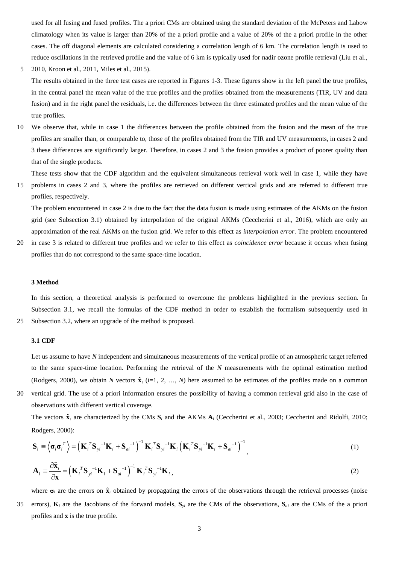used for all fusing and fused profiles. The a priori CMs are obtained using the standard deviation of the McPeters and Labow climatology when its value is larger than 20% of the a priori profile and a value of 20% of the a priori profile in the other cases. The off diagonal elements are calculated considering a correlation length of 6 km. The correlation length is used to reduce oscillations in the retrieved profile and the value of 6 km is typically used for nadir ozone profile retrieval (Liu et al.,

5 2010, Kroon et al., 2011, Miles et al., 2015). The results obtained in the three test cases are reported in Figures 1-3. These figures show in the left panel the true profiles, in the central panel the mean value of the true profiles and the profiles obtained from the measurements (TIR, UV and data fusion) and in the right panel the residuals, i.e. the differences between the three estimated profiles and the mean value of the true profiles.

10 We observe that, while in case 1 the differences between the profile obtained from the fusion and the mean of the true profiles are smaller than, or comparable to, those of the profiles obtained from the TIR and UV measurements, in cases 2 and 3 these differences are significantly larger. Therefore, in cases 2 and 3 the fusion provides a product of poorer quality than that of the single products.

These tests show that the CDF algorithm and the equivalent simultaneous retrieval work well in case 1, while they have

15 problems in cases 2 and 3, where the profiles are retrieved on different vertical grids and are referred to different true profiles, respectively.

The problem encountered in case 2 is due to the fact that the data fusion is made using estimates of the AKMs on the fusion grid (see Subsection 3.1) obtained by interpolation of the original AKMs (Ceccherini et al., 2016), which are only an approximation of the real AKMs on the fusion grid. We refer to this effect as *interpolation error*. The problem encountered

20 in case 3 is related to different true profiles and we refer to this effect as *coincidence error* because it occurs when fusing profiles that do not correspond to the same space-time location.

## **3 Method**

In this section, a theoretical analysis is performed to overcome the problems highlighted in the previous section. In Subsection 3.1, we recall the formulas of the CDF method in order to establish the formalism subsequently used in 25 Subsection 3.2, where an upgrade of the method is proposed.

## **3.1 CDF**

Let us assume to have N independent and simultaneous measurements of the vertical profile of an atmospheric target referred to the same space-time location. Performing the retrieval of the *N* measurements with the optimal estimation method (Rodgers, 2000), we obtain *N* vectors  $\hat{\mathbf{x}}_i$  (*i*=1, 2, …, *N*) here assumed to be estimates of the profiles made on a common

30 vertical grid. The use of a priori information ensures the possibility of having a common retrieval grid also in the case of observations with different vertical coverage.

The vectors  $\hat{\mathbf{x}}_i$  are characterized by the CMs  $\mathbf{S}_i$  and the AKMs  $\mathbf{A}_i$  (Ceccherini et al., 2003; Ceccherini and Ridolfi, 2010; Rodgers, 2000):

$$
\mathbf{S}_{i} \equiv \left\langle \boldsymbol{\sigma}_{i} \boldsymbol{\sigma}_{i}^{T} \right\rangle = \left(\mathbf{K}_{i}^{T} \mathbf{S}_{yi}^{-1} \mathbf{K}_{i} + \mathbf{S}_{ai}^{-1}\right)^{-1} \mathbf{K}_{i}^{T} \mathbf{S}_{yi}^{-1} \mathbf{K}_{i} \left(\mathbf{K}_{i}^{T} \mathbf{S}_{yi}^{-1} \mathbf{K}_{i} + \mathbf{S}_{ai}^{-1}\right)^{-1}, \tag{1}
$$

$$
\mathbf{A}_{i} = \frac{\partial \hat{\mathbf{x}}_{i}}{\partial \mathbf{x}} = \left(\mathbf{K}_{i}^{T} \mathbf{S}_{yi}^{-1} \mathbf{K}_{i} + \mathbf{S}_{ai}^{-1}\right)^{-1} \mathbf{K}_{i}^{T} \mathbf{S}_{yi}^{-1} \mathbf{K}_{i},
$$
\n(2)

where  $\sigma_i$  are the errors on  $\hat{\mathbf{x}}_i$  obtained by propagating the errors of the observations through the retrieval processes (noise 35 errors),  $\mathbf{K}_i$  are the Jacobians of the forward models,  $\mathbf{S}_{yi}$  are the CMs of the observations,  $\mathbf{S}_{ai}$  are the CMs of the a priori profiles and **x** is the true profile.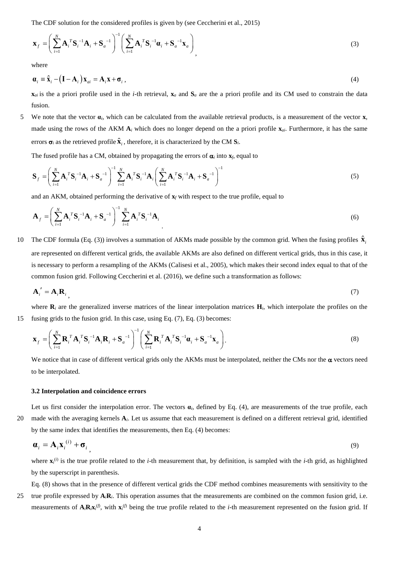The CDF solution for the considered profiles is given by (see Ceccherini et al., 2015)

$$
\mathbf{x}_{f} = \left(\sum_{i=1}^{N} \mathbf{A}_{i}^{T} \mathbf{S}_{i}^{-1} \mathbf{A}_{i} + \mathbf{S}_{a}^{-1}\right)^{-1} \left(\sum_{i=1}^{N} \mathbf{A}_{i}^{T} \mathbf{S}_{i}^{-1} \mathbf{a}_{i} + \mathbf{S}_{a}^{-1} \mathbf{x}_{a}\right)_{1}
$$
\n(3)

where

$$
\mathbf{a}_{i} \equiv \hat{\mathbf{x}}_{i} - (\mathbf{I} - \mathbf{A}_{i}) \mathbf{x}_{ai} = \mathbf{A}_{i} \mathbf{x} + \mathbf{\sigma}_{i}, \qquad (4)
$$

 $\mathbf{x}_{ai}$  is the a priori profile used in the *i*-th retrieval,  $\mathbf{x}_a$  and  $\mathbf{S}_a$  are the a priori profile and its CM used to constrain the data fusion.

5 We note that the vector **α***i*, which can be calculated from the available retrieval products, is a measurement of the vector **x**, made using the rows of the AKM **A***<sup>i</sup>* which does no longer depend on the a priori profile **x***ai*. Furthermore, it has the same errors  $\sigma_i$  as the retrieved profile  $\hat{\mathbf{x}}_i$ , therefore, it is characterized by the CM  $\mathbf{S}_i$ .

The fused profile has a CM, obtained by propagating the errors of  $\alpha$ <sub>*i*</sub> into  $\mathbf{x}_f$ , equal to

$$
\mathbf{S}_{f} = \left(\sum_{i=1}^{N} \mathbf{A}_{i}^{T} \mathbf{S}_{i}^{-1} \mathbf{A}_{i} + \mathbf{S}_{a}^{-1}\right)^{-1} \sum_{i=1}^{N} \mathbf{A}_{i}^{T} \mathbf{S}_{i}^{-1} \mathbf{A}_{i} \left(\sum_{i=1}^{N} \mathbf{A}_{i}^{T} \mathbf{S}_{i}^{-1} \mathbf{A}_{i} + \mathbf{S}_{a}^{-1}\right)^{-1}
$$
(5)

and an AKM, obtained performing the derivative of  $\mathbf{x}_f$  with respect to the true profile, equal to

$$
\mathbf{A}_{f} = \left(\sum_{i=1}^{N} \mathbf{A}_{i}^{T} \mathbf{S}_{i}^{-1} \mathbf{A}_{i} + \mathbf{S}_{a}^{-1}\right)^{-1} \sum_{i=1}^{N} \mathbf{A}_{i}^{T} \mathbf{S}_{i}^{-1} \mathbf{A}_{i}
$$
\n(6)

The CDF formula (Eq. (3)) involves a summation of AKMs made possible by the common grid. When the fusing profiles  $\hat{\mathbf{x}}_i$ are represented on different vertical grids, the available AKMs are also defined on different vertical grids, thus in this case, it is necessary to perform a resampling of the AKMs (Calisesi et al., 2005), which makes their second index equal to that of the common fusion grid. Following Ceccherini et al. (2016), we define such a transformation as follows:

$$
\mathbf{A}'_i = \mathbf{A}_i \mathbf{R}_i \tag{7}
$$

where  $\mathbf{R}_i$  are the generalized inverse matrices of the linear interpolation matrices  $\mathbf{H}_i$ , which interpolate the profiles on the 15 fusing grids to the fusion grid. In this case, using Eq. (7), Eq. (3) becomes:

$$
\mathbf{x}_{f} = \left(\sum_{i=1}^{N} \mathbf{R}_{i}^{T} \mathbf{A}_{i}^{T} \mathbf{S}_{i}^{-1} \mathbf{A}_{i} \mathbf{R}_{i} + \mathbf{S}_{a}^{-1}\right)^{-1} \left(\sum_{i=1}^{N} \mathbf{R}_{i}^{T} \mathbf{A}_{i}^{T} \mathbf{S}_{i}^{-1} \boldsymbol{\alpha}_{i} + \mathbf{S}_{a}^{-1} \mathbf{x}_{a}\right).
$$
\n(8)

We notice that in case of different vertical grids only the AKMs must be interpolated, neither the CMs nor the  $\alpha$  vectors need to be interpolated.

#### **3.2 Interpolation and coincidence errors**

Let us first consider the interpolation error. The vectors  $\alpha_i$ , defined by Eq. (4), are measurements of the true profile, each 20 made with the averaging kernels **A***i*. Let us assume that each measurement is defined on a different retrieval grid, identified by the same index that identifies the measurements, then Eq. (4) becomes:

$$
\mathbf{a}_i = \mathbf{A}_i \mathbf{x}_i^{(i)} + \mathbf{\sigma}_i \tag{9}
$$

where  $\mathbf{x}_i^{(i)}$  is the true profile related to the *i*-th measurement that, by definition, is sampled with the *i*-th grid, as highlighted by the superscript in parenthesis.

Eq. (8) shows that in the presence of different vertical grids the CDF method combines measurements with sensitivity to the 25 true profile expressed by **A***i***R***i*. This operation assumes that the measurements are combined on the common fusion grid, i.e. measurements of  $A_iR_iX_i^{(f)}$ , with  $X_i^{(f)}$  being the true profile related to the *i*-th measurement represented on the fusion grid. If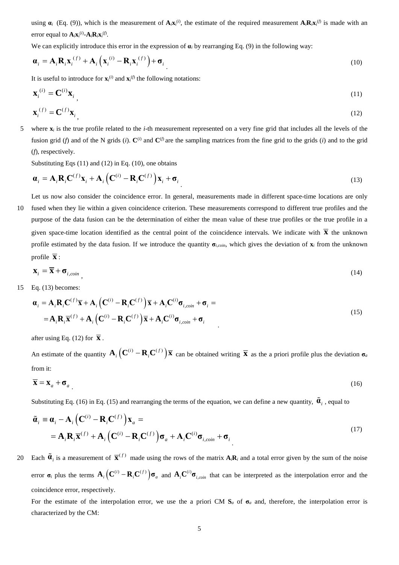using  $\alpha_i$  (Eq. (9)), which is the measurement of  $A_i x_i^{(i)}$ , the estimate of the required measurement  $A_i R_i x_i^{(f)}$  is made with an error equal to  $\mathbf{A}_i \mathbf{x}_i$ <sup>(*i*</sup>)- $\mathbf{A}_i \mathbf{R}_i \mathbf{x}_i$ <sup>(*f*)</sup>.

We can explicitly introduce this error in the expression of  $\alpha_i$  by rearranging Eq. (9) in the following way:

$$
\boldsymbol{\alpha}_{i} = \mathbf{A}_{i} \mathbf{R}_{i} \mathbf{x}_{i}^{(f)} + \mathbf{A}_{i} \left( \mathbf{x}_{i}^{(i)} - \mathbf{R}_{i} \mathbf{x}_{i}^{(f)} \right) + \boldsymbol{\sigma}_{i}
$$
\n(10)

It is useful to introduce for  $\mathbf{x}_i^{(i)}$  and  $\mathbf{x}_i^{(f)}$  the following notations:

$$
\mathbf{x}_i^{(i)} = \mathbf{C}^{(i)} \mathbf{x}_i \tag{11}
$$

$$
\mathbf{x}_i^{(f)} = \mathbf{C}^{(f)} \mathbf{x}_i \tag{12}
$$

5 where **x***<sup>i</sup>* is the true profile related to the *i*-th measurement represented on a very fine grid that includes all the levels of the fusion grid (*f*) and of the N grids (*i*).  $\mathbf{C}^{(i)}$  and  $\mathbf{C}^{(f)}$  are the sampling matrices from the fine grid to the grids (*i*) and to the grid (*f*), respectively.

Substituting Eqs (11) and (12) in Eq. (10), one obtains

$$
\boldsymbol{\alpha}_i = \mathbf{A}_i \mathbf{R}_i \mathbf{C}^{(f)} \mathbf{x}_i + \mathbf{A}_i \left( \mathbf{C}^{(i)} - \mathbf{R}_i \mathbf{C}^{(f)} \right) \mathbf{x}_i + \boldsymbol{\sigma}_i
$$
\n(13)

Let us now also consider the coincidence error. In general, measurements made in different space-time locations are only

10 fused when they lie within a given coincidence criterion. These measurements correspond to different true profiles and the purpose of the data fusion can be the determination of either the mean value of these true profiles or the true profile in a given space-time location identified as the central point of the coincidence intervals. We indicate with  $\bar{x}$  the unknown profile estimated by the data fusion. If we introduce the quantity  $\sigma_{i, coin}$ , which gives the deviation of  $\mathbf{x}_i$  from the unknown profile  $\overline{\mathbf{x}}$  :

$$
\mathbf{X}_{i} = \overline{\mathbf{X}} + \mathbf{\sigma}_{i, coin} \tag{14}
$$

15 Eq. (13) becomes:

$$
\mathbf{a}_{i} = \mathbf{A}_{i} \mathbf{R}_{i} \mathbf{C}^{(f)} \overline{\mathbf{x}} + \mathbf{A}_{i} \left( \mathbf{C}^{(i)} - \mathbf{R}_{i} \mathbf{C}^{(f)} \right) \overline{\mathbf{x}} + \mathbf{A}_{i} \mathbf{C}^{(i)} \mathbf{\sigma}_{i, coin} + \mathbf{\sigma}_{i} =
$$
\n
$$
= \mathbf{A}_{i} \mathbf{R}_{i} \overline{\mathbf{x}}^{(f)} + \mathbf{A}_{i} \left( \mathbf{C}^{(i)} - \mathbf{R}_{i} \mathbf{C}^{(f)} \right) \overline{\mathbf{x}} + \mathbf{A}_{i} \mathbf{C}^{(i)} \mathbf{\sigma}_{i, coin} + \mathbf{\sigma}_{i}
$$
\n(15)

after using Eq. (12) for  $\overline{\mathbf{x}}$ .

An estimate of the quantity  $\mathbf{A}_i (\mathbf{C}^{(i)} - \mathbf{R}_i \mathbf{C}^{(f)}) \overline{\mathbf{x}}$  can be obtained writing  $\overline{\mathbf{x}}$  as the a priori profile plus the deviation  $\sigma_a$ from it:

$$
\overline{\mathbf{x}} = \mathbf{x}_a + \mathbf{\sigma}_a \tag{16}
$$

Substituting Eq. (16) in Eq. (15) and rearranging the terms of the equation, we can define a new quantity,  $\tilde{\mathbf{\alpha}}_i$ , equal to

$$
\tilde{\boldsymbol{\alpha}}_i = \boldsymbol{\alpha}_i - \mathbf{A}_i \left( \mathbf{C}^{(i)} - \mathbf{R}_i \mathbf{C}^{(f)} \right) \mathbf{x}_a =
$$
\n
$$
= \mathbf{A}_i \mathbf{R}_i \overline{\mathbf{x}}^{(f)} + \mathbf{A}_i \left( \mathbf{C}^{(i)} - \mathbf{R}_i \mathbf{C}^{(f)} \right) \boldsymbol{\sigma}_a + \mathbf{A}_i \mathbf{C}^{(i)} \boldsymbol{\sigma}_{i, coin} + \boldsymbol{\sigma}_i
$$
\n(17)

20 Each  $\tilde{\mathbf{a}}_i$  is a measurement of  $\overline{\mathbf{x}}^{(f)}$  made using the rows of the matrix  $\mathbf{A}_i \mathbf{R}_i$  and a total error given by the sum of the noise error  $\sigma_i$  plus the terms  $A_i (C^{(i)} - R_i C^{(f)}) \sigma_a$  and  $A_i C^{(i)} \sigma_{i, coin}$  that can be interpreted as the interpolation error and the coincidence error, respectively.

For the estimate of the interpolation error, we use the a priori CM  $S_a$  of  $\sigma_a$  and, therefore, the interpolation error is characterized by the CM: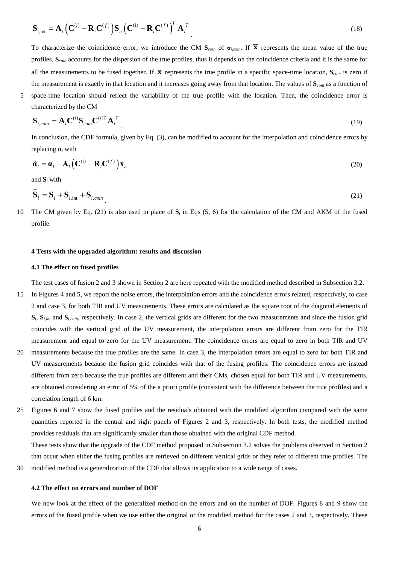$$
\mathbf{S}_{i,\text{int}} = \mathbf{A}_i \left( \mathbf{C}^{(i)} - \mathbf{R}_i \mathbf{C}^{(f)} \right) \mathbf{S}_a \left( \mathbf{C}^{(i)} - \mathbf{R}_i \mathbf{C}^{(f)} \right)^T \mathbf{A}_i^T
$$
\n(18)

To characterize the coincidence error, we introduce the CM  $S_{\text{coin}}$  of  $\sigma_{i,\text{coin}}$ . If  $\overline{X}$  represents the mean value of the true profiles, **S***coin* accounts for the dispersion of the true profiles, thus it depends on the coincidence criteria and it is the same for all the measurements to be fused together. If  $\bar{x}$  represents the true profile in a specific space-time location,  $S_{\text{coin}}$  is zero if the measurement is exactly in that location and it increases going away from that location. The values of **S***coin* as a function of

5 space-time location should reflect the variability of the true profile with the location. Then, the coincidence error is

$$
\mathbf{S}_{i, coin} = \mathbf{A}_i \mathbf{C}^{(i)} \mathbf{S}_{coin} \mathbf{C}^{(i)T} \mathbf{A}_i^T
$$
 (19)

In conclusion, the CDF formula, given by Eq. (3), can be modified to account for the interpolation and coincidence errors by replacing **α***<sup>i</sup>* with

$$
\tilde{\boldsymbol{\alpha}}_i = \boldsymbol{\alpha}_i - \mathbf{A}_i \left( \mathbf{C}^{(i)} - \mathbf{R}_i \mathbf{C}^{(f)} \right) \mathbf{x}_a
$$
\n(20)

and **S***<sup>i</sup>* with

characterized by the CM

$$
\tilde{\mathbf{S}}_i = \mathbf{S}_i + \mathbf{S}_{i, \text{int}} + \mathbf{S}_{i, \text{coin}} \tag{21}
$$

10 The CM given by Eq. (21) is also used in place of  $S_i$  in Eqs (5, 6) for the calculation of the CM and AKM of the fused profile.

### **4 Tests with the upgraded algorithm: results and discussion**

## **4.1 The effect on fused profiles**

The test cases of fusion 2 and 3 shown in Section 2 are here repeated with the modified method described in Subsection 3.2.

- 15 In Figures 4 and 5, we report the noise errors, the interpolation errors and the coincidence errors related, respectively, to case 2 and case 3, for both TIR and UV measurements. These errors are calculated as the square root of the diagonal elements of **S***i*, **S***i,int* and **S***i,coin*, respectively. In case 2, the vertical grids are different for the two measurements and since the fusion grid coincides with the vertical grid of the UV measurement, the interpolation errors are different from zero for the TIR measurement and equal to zero for the UV measurement. The coincidence errors are equal to zero in both TIR and UV
- 20 measurements because the true profiles are the same. In case 3, the interpolation errors are equal to zero for both TIR and UV measurements because the fusion grid coincides with that of the fusing profiles. The coincidence errors are instead different from zero because the true profiles are different and their CMs, chosen equal for both TIR and UV measurements, are obtained considering an error of 5% of the a priori profile (consistent with the difference between the true profiles) and a correlation length of 6 km.
- 25 Figures 6 and 7 show the fused profiles and the residuals obtained with the modified algorithm compared with the same quantities reported in the central and right panels of Figures 2 and 3, respectively. In both tests, the modified method provides residuals that are significantly smaller than those obtained with the original CDF method.

These tests show that the upgrade of the CDF method proposed in Subsection 3.2 solves the problems observed in Section 2 that occur when either the fusing profiles are retrieved on different vertical grids or they refer to different true profiles. The 30 modified method is a generalization of the CDF that allows its application to a wide range of cases.

#### **4.2 The effect on errors and number of DOF**

We now look at the effect of the generalized method on the errors and on the number of DOF. Figures 8 and 9 show the errors of the fused profile when we use either the original or the modified method for the cases 2 and 3, respectively. These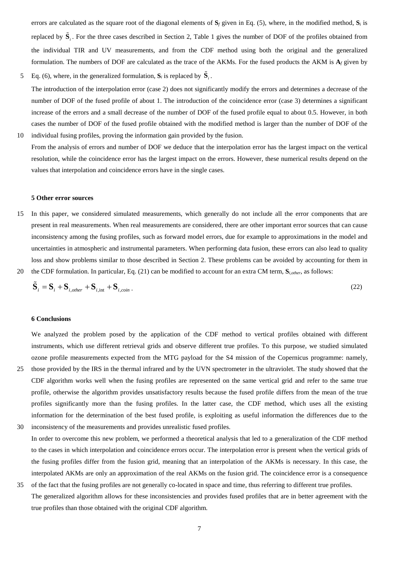errors are calculated as the square root of the diagonal elements of **S***<sup>f</sup>* given in Eq. (5), where, in the modified method, **S***<sup>i</sup>* is replaced by  $\tilde{\bf S}_i$ . For the three cases described in Section 2, Table 1 gives the number of DOF of the profiles obtained from the individual TIR and UV measurements, and from the CDF method using both the original and the generalized formulation. The numbers of DOF are calculated as the trace of the AKMs. For the fused products the AKM is  $A_f$  given by

- 5 Eq. (6), where, in the generalized formulation,  $S_i$  is replaced by  $\tilde{S}_i$ . The introduction of the interpolation error (case 2) does not significantly modify the errors and determines a decrease of the number of DOF of the fused profile of about 1. The introduction of the coincidence error (case 3) determines a significant increase of the errors and a small decrease of the number of DOF of the fused profile equal to about 0.5. However, in both cases the number of DOF of the fused profile obtained with the modified method is larger than the number of DOF of the 10 individual fusing profiles, proving the information gain provided by the fusion.
- From the analysis of errors and number of DOF we deduce that the interpolation error has the largest impact on the vertical resolution, while the coincidence error has the largest impact on the errors. However, these numerical results depend on the values that interpolation and coincidence errors have in the single cases.

#### **5 Other error sources**

- 15 In this paper, we considered simulated measurements, which generally do not include all the error components that are present in real measurements. When real measurements are considered, there are other important error sources that can cause inconsistency among the fusing profiles, such as forward model errors, due for example to approximations in the model and uncertainties in atmospheric and instrumental parameters. When performing data fusion, these errors can also lead to quality loss and show problems similar to those described in Section 2. These problems can be avoided by accounting for them in
- 20 the CDF formulation. In particular, Eq. (21) can be modified to account for an extra CM term, **S***i,other*, as follows:

$$
\tilde{\mathbf{S}}_i = \mathbf{S}_i + \mathbf{S}_{i,other} + \mathbf{S}_{i,int} + \mathbf{S}_{i,coin} \tag{22}
$$

# **6 Conclusions**

We analyzed the problem posed by the application of the CDF method to vertical profiles obtained with different instruments, which use different retrieval grids and observe different true profiles. To this purpose, we studied simulated ozone profile measurements expected from the MTG payload for the S4 mission of the Copernicus programme: namely,

- 25 those provided by the IRS in the thermal infrared and by the UVN spectrometer in the ultraviolet. The study showed that the CDF algorithm works well when the fusing profiles are represented on the same vertical grid and refer to the same true profile, otherwise the algorithm provides unsatisfactory results because the fused profile differs from the mean of the true profiles significantly more than the fusing profiles. In the latter case, the CDF method, which uses all the existing information for the determination of the best fused profile, is exploiting as useful information the differences due to the 30 inconsistency of the measurements and provides unrealistic fused profiles.
- In order to overcome this new problem, we performed a theoretical analysis that led to a generalization of the CDF method to the cases in which interpolation and coincidence errors occur. The interpolation error is present when the vertical grids of the fusing profiles differ from the fusion grid, meaning that an interpolation of the AKMs is necessary. In this case, the interpolated AKMs are only an approximation of the real AKMs on the fusion grid. The coincidence error is a consequence
- 35 of the fact that the fusing profiles are not generally co-located in space and time, thus referring to different true profiles. The generalized algorithm allows for these inconsistencies and provides fused profiles that are in better agreement with the true profiles than those obtained with the original CDF algorithm.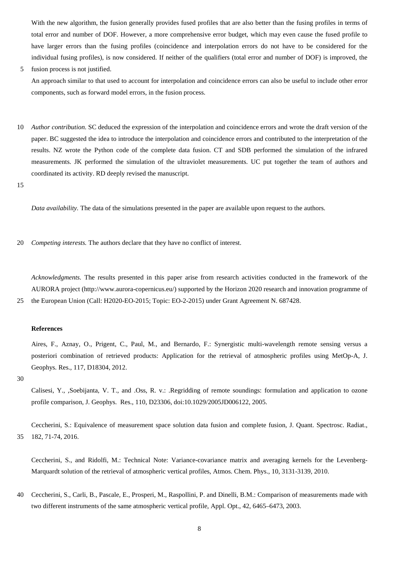With the new algorithm, the fusion generally provides fused profiles that are also better than the fusing profiles in terms of total error and number of DOF. However, a more comprehensive error budget, which may even cause the fused profile to have larger errors than the fusing profiles (coincidence and interpolation errors do not have to be considered for the individual fusing profiles), is now considered. If neither of the qualifiers (total error and number of DOF) is improved, the

5 fusion process is not justified.

An approach similar to that used to account for interpolation and coincidence errors can also be useful to include other error components, such as forward model errors, in the fusion process.

10 *Author contribution.* SC deduced the expression of the interpolation and coincidence errors and wrote the draft version of the paper. BC suggested the idea to introduce the interpolation and coincidence errors and contributed to the interpretation of the results. NZ wrote the Python code of the complete data fusion. CT and SDB performed the simulation of the infrared measurements. JK performed the simulation of the ultraviolet measurements. UC put together the team of authors and coordinated its activity. RD deeply revised the manuscript.

15

*Data availability.* The data of the simulations presented in the paper are available upon request to the authors.

20 *Competing interests.* The authors declare that they have no conflict of interest.

*Acknowledgments.* The results presented in this paper arise from research activities conducted in the framework of the AURORA project [\(http://www.aurora-copernicus.eu/\)](http://www.aurora-copernicus.eu/) supported by the Horizon 2020 research and innovation programme of 25 the European Union (Call: H2020-EO-2015; Topic: EO-2-2015) under Grant Agreement N. 687428.

### **References**

Aires, F., Aznay, O., Prigent, C., Paul, M., and Bernardo, F.: Synergistic multi-wavelength remote sensing versus a posteriori combination of retrieved products: Application for the retrieval of atmospheric profiles using MetOp-A, J. Geophys. Res., 117, D18304, 2012.

30

Calisesi, Y., ,Soebijanta, V. T., and .Oss, R. v.: .Regridding of remote soundings: formulation and application to ozone profile comparison, J. Geophys. Res., 110, D23306, doi:10.1029/2005JD006122, 2005.

Ceccherini, S.: Equivalence of measurement space solution data fusion and complete fusion, J. Quant. Spectrosc. Radiat., 35 182, 71-74, 2016.

Ceccherini, S., and Ridolfi, M.: Technical Note: Variance-covariance matrix and averaging kernels for the Levenberg-Marquardt solution of the retrieval of atmospheric vertical profiles, Atmos. Chem. Phys., 10, 3131-3139, 2010.

40 Ceccherini, S., Carli, B., Pascale, E., Prosperi, M., Raspollini, P. and Dinelli, B.M.: Comparison of measurements made with two different instruments of the same atmospheric vertical profile, Appl. Opt., 42, 6465–6473, 2003.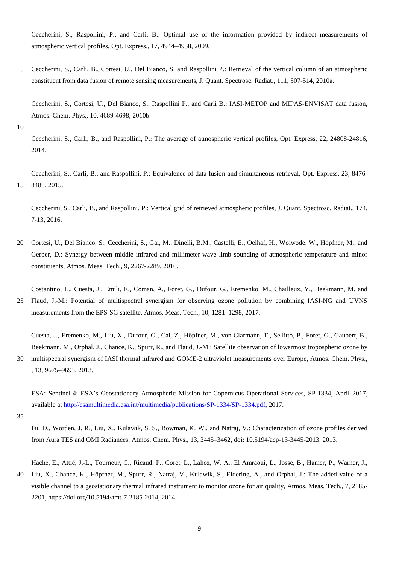Ceccherini, S., Raspollini, P., and Carli, B.: Optimal use of the information provided by indirect measurements of atmospheric vertical profiles, Opt. Express., 17, 4944–4958, 2009.

5 Ceccherini, S., Carli, B., Cortesi, U., Del Bianco, S. and Raspollini P.: Retrieval of the vertical column of an atmospheric constituent from data fusion of remote sensing measurements, J. Quant. Spectrosc. Radiat., 111, 507-514, 2010a.

Ceccherini, S., Cortesi, U., Del Bianco, S., Raspollini P., and Carli B.: IASI-METOP and MIPAS-ENVISAT data fusion, Atmos. Chem. Phys., 10, 4689-4698, 2010b.

10

Ceccherini, S., Carli, B., and Raspollini, P.: The average of atmospheric vertical profiles, Opt. Express, 22, 24808-24816, 2014.

Ceccherini, S., Carli, B., and Raspollini, P.: Equivalence of data fusion and simultaneous retrieval, Opt. Express, 23, 8476- 15 8488, 2015.

Ceccherini, S., Carli, B., and Raspollini, P.: Vertical grid of retrieved atmospheric profiles, J. Quant. Spectrosc. Radiat., 174, 7-13, 2016.

- 20 Cortesi, U., Del Bianco, S., Ceccherini, S., Gai, M., Dinelli, B.M., Castelli, E., Oelhaf, H., Woiwode, W., Höpfner, M., and Gerber, D.: Synergy between middle infrared and millimeter-wave limb sounding of atmospheric temperature and minor constituents, Atmos. Meas. Tech., 9, 2267-2289, 2016.
- Costantino, L., Cuesta, J., Emili, E., Coman, A., Foret, G., Dufour, G., Eremenko, M., Chailleux, Y., Beekmann, M. and 25 Flaud, J.-M.: Potential of multispectral synergism for observing ozone pollution by combining IASI-NG and UVNS measurements from the EPS-SG satellite, Atmos. Meas. Tech., 10, 1281–1298, 2017.

Cuesta, J., Eremenko, M., Liu, X., Dufour, G., Cai, Z., Höpfner, M., von Clarmann, T., Sellitto, P., Foret, G., Gaubert, B., Beekmann, M., Orphal, J., Chance, K., Spurr, R., and Flaud, J.-M.: Satellite observation of lowermost tropospheric ozone by 30 multispectral synergism of IASI thermal infrared and GOME-2 ultraviolet measurements over Europe, Atmos. Chem. Phys., , 13, 9675–9693, 2013.

ESA: Sentinel-4: ESA's Geostationary Atmospheric Mission for Copernicus Operational Services, SP-1334, April 2017, available at [http://esamultimedia.esa.int/multimedia/publications/SP-1334/SP-1334.pdf,](http://esamultimedia.esa.int/multimedia/publications/SP-1334/SP-1334.pdf) 2017.

35

Fu, D., Worden, J. R., Liu, X., Kulawik, S. S., Bowman, K. W., and Natraj, V.: Characterization of ozone profiles derived from Aura TES and OMI Radiances. Atmos. Chem. Phys., 13, 3445–3462, doi: 10.5194/acp-13-3445-2013, 2013.

Hache, E., Attié, J.-L., Tourneur, C., Ricaud, P., Coret, L., Lahoz, W. A., El Amraoui, L., Josse, B., Hamer, P., Warner, J.,

40 Liu, X., Chance, K., Höpfner, M., Spurr, R., Natraj, V., Kulawik, S., Eldering, A., and Orphal, J.: The added value of a visible channel to a geostationary thermal infrared instrument to monitor ozone for air quality, Atmos. Meas. Tech., 7, 2185- 2201, https://doi.org/10.5194/amt-7-2185-2014, 2014.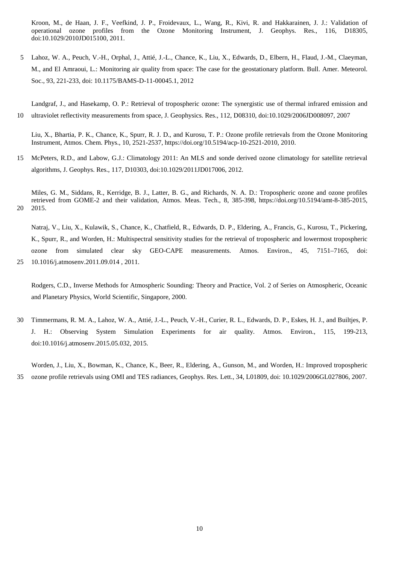Kroon, M., de Haan, J. F., Veefkind, J. P., Froidevaux, L., Wang, R., Kivi, R. and Hakkarainen, J. J.: Validation of operational ozone profiles from the Ozone Monitoring Instrument, J. Geophys. Res., 116, D18305, doi[:10.1029/2010JD015100, 2011.](http://dx.doi.org/10.1029/2010JD015100)

5 Lahoz, W. A., Peuch, V.-H., Orphal, J., Attié, J.-L., Chance, K., Liu, X., Edwards, D., Elbern, H., Flaud, J.-M., Claeyman, M., and El Amraoui, L.: Monitoring air quality from space: The case for the geostationary platform. Bull. Amer. Meteorol. Soc., 93, 221-233, doi: 10.1175/BAMS-D-11-00045.1, 2012

Landgraf, J., and Hasekamp, O. P.: Retrieval of tropospheric ozone: The synergistic use of thermal infrared emission and 10 ultraviolet reflectivity measurements from space, J. Geophysics. Res., 112, D08310, doi:10.1029/2006JD008097, 2007

Liu, X., Bhartia, P. K., Chance, K., Spurr, R. J. D., and Kurosu, T. P.: Ozone profile retrievals from the Ozone Monitoring Instrument, Atmos. Chem. Phys., 10, 2521-2537, https://doi.org/10.5194/acp-10-2521-2010, 2010.

15 McPeters, R.D., and Labow, G.J.: Climatology 2011: An MLS and sonde derived ozone climatology for satellite retrieval algorithms, J. Geophys. Res., 117, D10303, doi:10.1029/2011JD017006, 2012.

Miles, G. M., Siddans, R., Kerridge, B. J., Latter, B. G., and Richards, N. A. D.: Tropospheric ozone and ozone profiles retrieved from GOME-2 and their validation, Atmos. Meas. Tech., 8, 385-398, https://doi.org/10.5194/amt-8-385-2015, 20 2015.

Natraj, V., Liu, X., Kulawik, S., Chance, K., Chatfield, R., Edwards, D. P., Eldering, A., Francis, G., Kurosu, T., Pickering, K., Spurr, R., and Worden, H.: Multispectral sensitivity studies for the retrieval of tropospheric and lowermost tropospheric ozone from simulated clear sky GEO-CAPE measurements. Atmos. Environ., 45, 7151–7165, doi: 25 10.1016/j.atmosenv.2011.09.014 , 2011.

Rodgers, C.D., Inverse Methods for Atmospheric Sounding: Theory and Practice, Vol. 2 of Series on Atmospheric, Oceanic and Planetary Physics, World Scientific, Singapore, 2000.

30 Timmermans, R. M. A., Lahoz, W. A., Attié, J.-L., Peuch, V.-H., Curier, R. L., Edwards, D. P., Eskes, H. J., and Builtjes, P. J. H.: Observing System Simulation Experiments for air quality. Atmos. Environ., 115, 199-213, doi:10.1016/j.atmosenv.2015.05.032, 2015.

Worden, J., Liu, X., Bowman, K., Chance, K., Beer, R., Eldering, A., Gunson, M., and Worden, H.: Improved tropospheric 35 ozone profile retrievals using OMI and TES radiances, Geophys. Res. Lett., 34, L01809, doi: 10.1029/2006GL027806, 2007.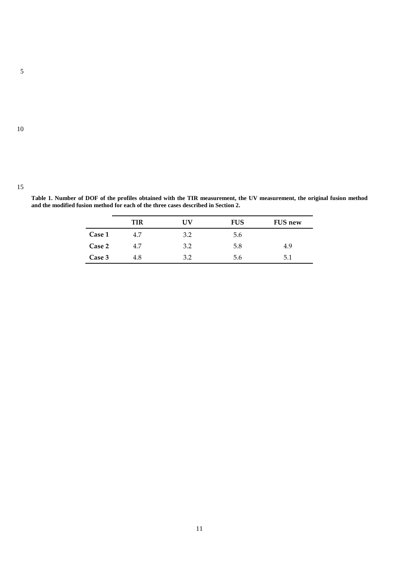10

|               | ΠR  | TV  | <b>FUS</b> | <b>FUS new</b> |
|---------------|-----|-----|------------|----------------|
| <b>Case 1</b> | 4.7 | າ າ | 5.6        |                |
| <b>Case 2</b> | 47  |     |            | -c             |

**Case 3** 4.8 3.2 5.6 5.1

**Table 1. Number of DOF of the profiles obtained with the TIR measurement, the UV measurement, the original fusion method and the modified fusion method for each of the three cases described in Section 2.**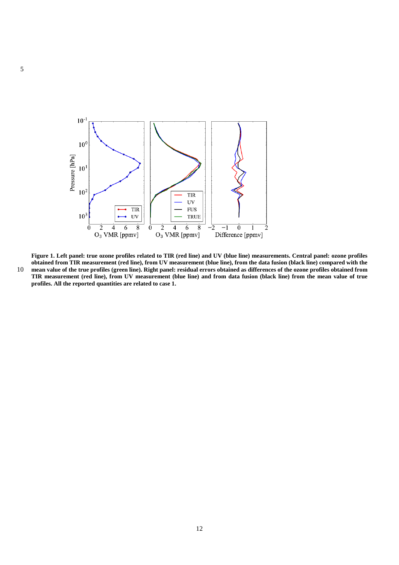

**Figure 1. Left panel: true ozone profiles related to TIR (red line) and UV (blue line) measurements. Central panel: ozone profiles obtained from TIR measurement (red line), from UV measurement (blue line), from the data fusion (black line) compared with the** 10 **mean value of the true profiles (green line). Right panel: residual errors obtained as differences of the ozone profiles obtained from** 

**TIR measurement (red line), from UV measurement (blue line) and from data fusion (black line) from the mean value of true profiles. All the reported quantities are related to case 1.**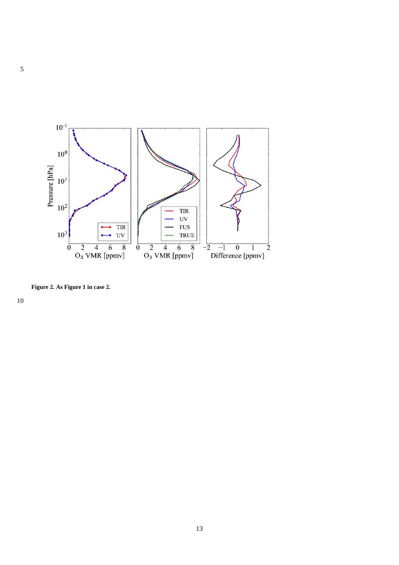

**Figure 2. As Figure 1 in case 2.**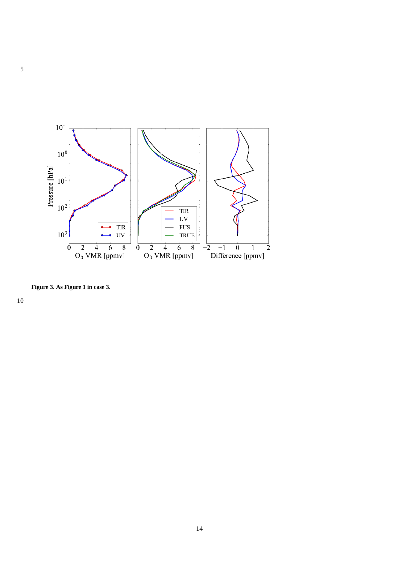

**Figure 3. As Figure 1 in case 3.**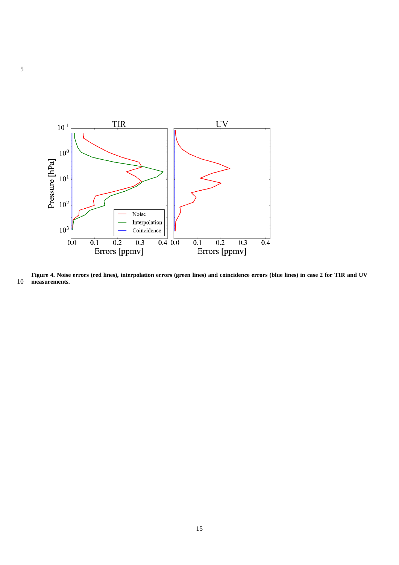

**Figure 4. Noise errors (red lines), interpolation errors (green lines) and coincidence errors (blue lines) in case 2 for TIR and UV measurements.**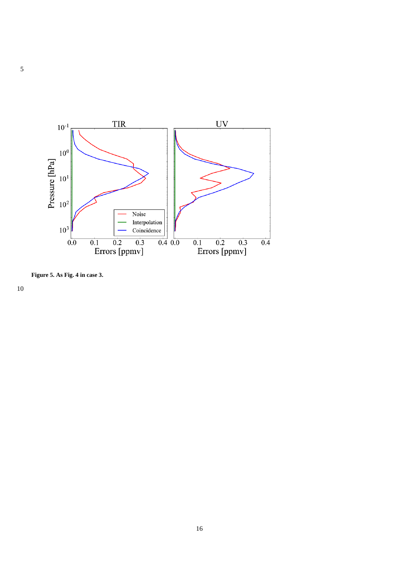

**Figure 5. As Fig. 4 in case 3.**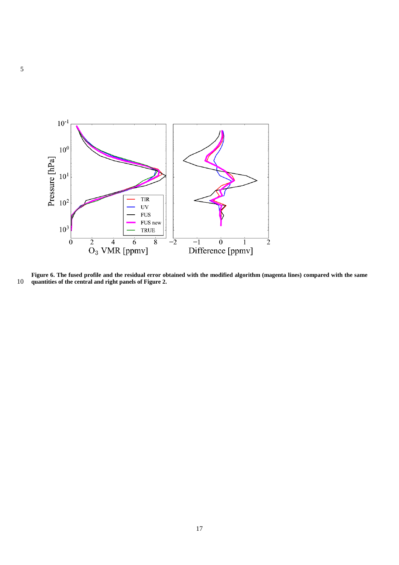

**Figure 6. The fused profile and the residual error obtained with the modified algorithm (magenta lines) compared with the same quantities of the central and right panels of Figure 2.**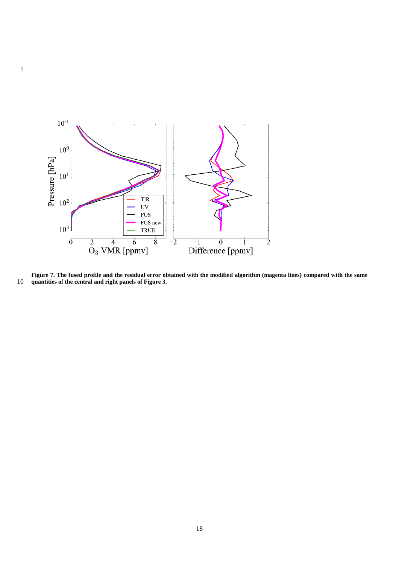

**Figure 7. The fused profile and the residual error obtained with the modified algorithm (magenta lines) compared with the same quantities of the central and right panels of Figure 3.**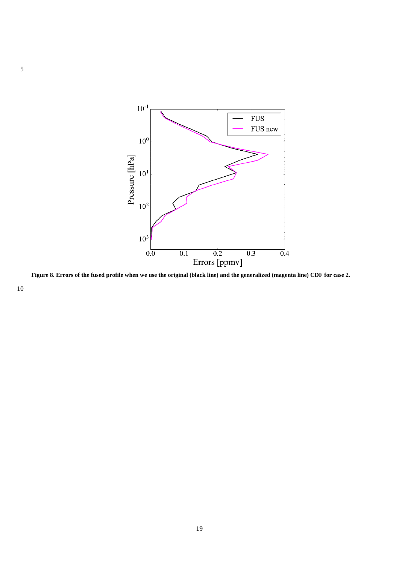

**Figure 8. Errors of the fused profile when we use the original (black line) and the generalized (magenta line) CDF for case 2.**